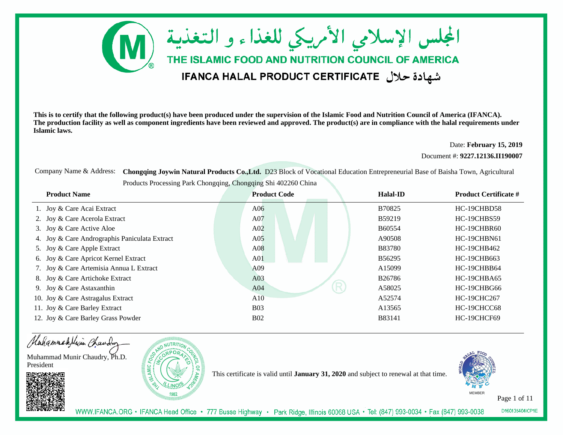

Date: **February 15, 2019**

Document #: **9227.12136.II190007**

Company Name & Address: **Chongqing Joywin Natural Products Co.,Ltd.** D23 Block of Vocational Education Entrepreneurial Base of Baisha Town, AgriculturalProducts Processing Park Chongqing, Chongqing Shi 402260 China

| <b>Product Name</b>                           | <b>Product Code</b> | <b>Halal-ID</b> | <b>Product Certificate #</b> |
|-----------------------------------------------|---------------------|-----------------|------------------------------|
| 1. Joy & Care Acai Extract                    | A06                 | B70825          | HC-19CHBD58                  |
| 2. Joy & Care Acerola Extract                 | A07                 | B59219          | HC-19CHBS59                  |
| 3. Joy & Care Active Aloe                     | A02                 | B60554          | HC-19CHBR60                  |
| 4. Joy & Care Andrographis Paniculata Extract | A05                 | A90508          | HC-19CHBN61                  |
| 5. Joy & Care Apple Extract                   | A08                 | <b>B83780</b>   | <b>HC-19CHB462</b>           |
| 6. Joy & Care Apricot Kernel Extract          | A <sub>01</sub>     | B56295          | HC-19CHB663                  |
| 7. Joy & Care Artemisia Annua L Extract       | A09                 | A15099          | HC-19CHBB64                  |
| 8. Joy & Care Artichoke Extract               | A <sub>03</sub>     | B26786          | HC-19CHBA65                  |
| 9. Joy & Care Astaxanthin                     | A04                 | R<br>A58025     | HC-19CHBG66                  |
| 10. Joy & Care Astragalus Extract             | A10                 | A52574          | HC-19CHC267                  |
| 11. Joy & Care Barley Extract                 | <b>B03</b>          | A13565          | HC-19CHCC68                  |
| 12. Joy & Care Barley Grass Powder            | <b>B02</b>          | B83141          | HC-19CHCF69                  |

Mahammadellin Chauding

Muhammad Munir Chaudry, Ph.D.President





This certificate is valid until **January 31, 2020** and subject to renewal at that time.



Page 1 of 11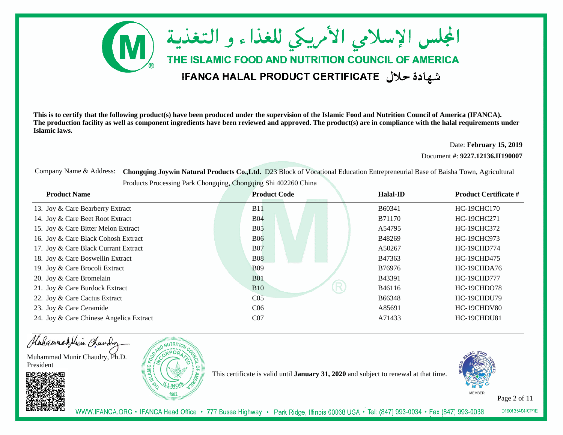

Date: **February 15, 2019**

Document #: **9227.12136.II190007**

Company Name & Address: **Chongqing Joywin Natural Products Co.,Ltd.** D23 Block of Vocational Education Entrepreneurial Base of Baisha Town, AgriculturalProducts Processing Park Chongqing, Chongqing Shi 402260 China

| <b>Product Name</b>                     | <b>Product Code</b> | <b>Halal-ID</b> | <b>Product Certificate #</b> |
|-----------------------------------------|---------------------|-----------------|------------------------------|
| 13. Joy & Care Bearberry Extract        | <b>B11</b>          | B60341          | HC-19CHC170                  |
| 14. Joy & Care Beet Root Extract        | <b>B04</b>          | <b>B71170</b>   | HC-19CHC271                  |
| 15. Joy & Care Bitter Melon Extract     | <b>B05</b>          | A54795          | HC-19CHC372                  |
| 16. Joy & Care Black Cohosh Extract     | <b>B06</b>          | B48269          | HC-19CHC973                  |
| 17. Joy & Care Black Currant Extract    | <b>B07</b>          | A50267          | <b>HC-19CHD774</b>           |
| 18. Joy & Care Boswellin Extract        | <b>B08</b>          | B47363          | HC-19CHD475                  |
| 19. Joy & Care Brocoli Extract          | <b>B09</b>          | B76976          | HC-19CHDA76                  |
| 20. Joy & Care Bromelain                | <b>B01</b>          | B43391          | <b>HC-19CHD777</b>           |
| 21. Joy & Care Burdock Extract          | R<br><b>B</b> 10    | B46116          | HC-19CHDO78                  |
| 22. Joy & Care Cactus Extract           | CO <sub>5</sub>     | B66348          | HC-19CHDU79                  |
| 23. Joy & Care Ceramide                 | C <sub>06</sub>     | A85691          | HC-19CHDV80                  |
| 24. Joy & Care Chinese Angelica Extract | CO <sub>7</sub>     | A71433          | HC-19CHDU81                  |

Mahammadellin Chauding

Muhammad Munir Chaudry, Ph.D.President





This certificate is valid until **January 31, 2020** and subject to renewal at that time.



Page 2 of 11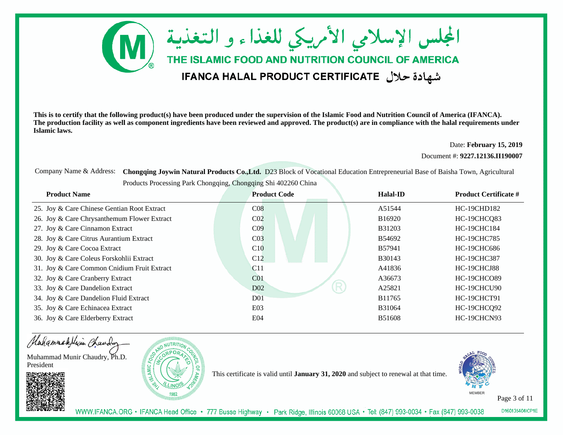

Date: **February 15, 2019**

Document #: **9227.12136.II190007**

Company Name & Address: **Chongqing Joywin Natural Products Co.,Ltd.** D23 Block of Vocational Education Entrepreneurial Base of Baisha Town, AgriculturalProducts Processing Park Chongqing, Chongqing Shi 402260 China

| <b>Product Name</b>                         | <b>Product Code</b> | <b>Halal-ID</b> | <b>Product Certificate #</b> |
|---------------------------------------------|---------------------|-----------------|------------------------------|
| 25. Joy & Care Chinese Gentian Root Extract | CO8                 | A51544          | <b>HC-19CHD182</b>           |
| 26. Joy & Care Chrysanthemum Flower Extract | CO <sub>2</sub>     | B16920          | HC-19CHCQ83                  |
| 27. Joy & Care Cinnamon Extract             | C <sub>09</sub>     | <b>B31203</b>   | <b>HC-19CHC184</b>           |
| 28. Joy & Care Citrus Aurantium Extract     | CO <sub>3</sub>     | B54692          | HC-19CHC785                  |
| 29. Joy & Care Cocoa Extract                | C10                 | B57941          | <b>HC-19CHC686</b>           |
| 30. Joy & Care Coleus Forskohlii Extract    | C12                 | <b>B30143</b>   | <b>HC-19CHC387</b>           |
| 31. Joy & Care Common Cnidium Fruit Extract | C11                 | A41836          | HC-19CHCJ88                  |
| 32. Joy & Care Cranberry Extract            | CO <sub>1</sub>     | A36673          | HC-19CHCO89                  |
| 33. Joy & Care Dandelion Extract            | D <sub>02</sub>     | R<br>A25821     | HC-19CHCU90                  |
| 34. Joy & Care Dandelion Fluid Extract      | D <sub>01</sub>     | B11765          | HC-19CHCT91                  |
| 35. Joy & Care Echinacea Extract            | E <sub>03</sub>     | B31064          | HC-19CHCQ92                  |
| 36. Joy & Care Elderberry Extract           | E04                 | <b>B51608</b>   | HC-19CHCN93                  |

Mahammadellin Chauding

Muhammad Munir Chaudry, Ph.D.President





This certificate is valid until **January 31, 2020** and subject to renewal at that time.



Page 3 of 11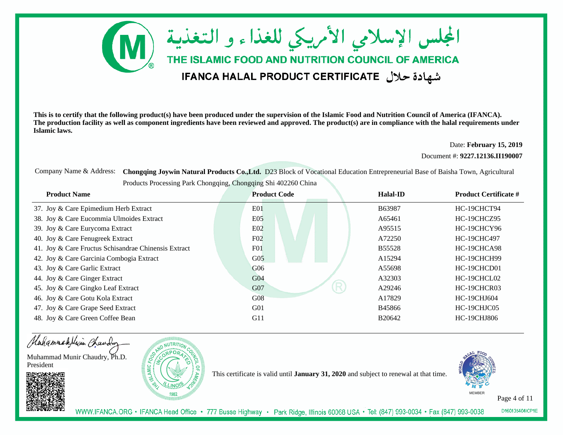

Date: **February 15, 2019**

Document #: **9227.12136.II190007**

Company Name & Address: **Chongqing Joywin Natural Products Co.,Ltd.** D23 Block of Vocational Education Entrepreneurial Base of Baisha Town, AgriculturalProducts Processing Park Chongqing, Chongqing Shi 402260 China

| <b>Product Name</b>                                  | <b>Product Code</b> | Halal-ID      | <b>Product Certificate #</b> |
|------------------------------------------------------|---------------------|---------------|------------------------------|
| 37. Joy & Care Epimedium Herb Extract                | E <sub>01</sub>     | B63987        | HC-19CHCT94                  |
| 38. Joy & Care Eucommia Ulmoides Extract             | E <sub>05</sub>     | A65461        | HC-19CHCZ95                  |
| 39. Joy & Care Eurycoma Extract                      | E02                 | A95515        | HC-19CHCY96                  |
| 40. Joy & Care Fenugreek Extract                     | F <sub>02</sub>     | A72250        | HC-19CHC497                  |
| 41. Joy & Care Fructus Schisandrae Chinensis Extract | F01                 | <b>B55528</b> | HC-19CHCA98                  |
| 42. Joy & Care Garcinia Combogia Extract             | $G_{05}$            | A15294        | HC-19CHCH99                  |
| 43. Joy & Care Garlic Extract                        | G06                 | A55698        | HC-19CHCD01                  |
| 44. Joy & Care Ginger Extract                        | G <sub>04</sub>     | A32303        | HC-19CHCL02                  |
| 45. Joy & Care Gingko Leaf Extract                   | R<br>G07            | A29246        | HC-19CHCR03                  |
| 46. Joy & Care Gotu Kola Extract                     | G08                 | A17829        | HC-19CHJ604                  |
| 47. Joy & Care Grape Seed Extract                    | G <sub>01</sub>     | B45866        | HC-19CHJC05                  |
| 48. Joy & Care Green Coffee Bean                     | G11                 | B20642        | <b>HC-19CHJ806</b>           |

Mahammadellin Chauding

Muhammad Munir Chaudry, Ph.D.President





This certificate is valid until **January 31, 2020** and subject to renewal at that time.



Page 4 of 11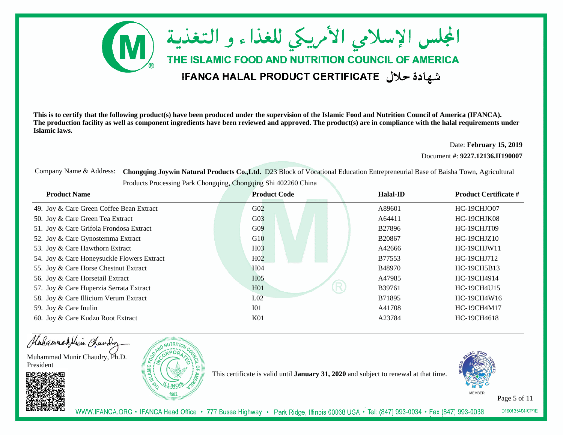

Date: **February 15, 2019**

Document #: **9227.12136.II190007**

Company Name & Address: **Chongqing Joywin Natural Products Co.,Ltd.** D23 Block of Vocational Education Entrepreneurial Base of Baisha Town, AgriculturalProducts Processing Park Chongqing, Chongqing Shi 402260 China

| <b>Product Name</b>                        | <b>Product Code</b> | <b>Halal-ID</b> | <b>Product Certificate #</b> |
|--------------------------------------------|---------------------|-----------------|------------------------------|
| 49. Joy & Care Green Coffee Bean Extract   | G <sub>02</sub>     | A89601          | HC-19CHJO07                  |
| 50. Joy & Care Green Tea Extract           | G <sub>03</sub>     | A64411          | HC-19CHJK08                  |
| 51. Joy & Care Grifola Frondosa Extract    | G09                 | B27896          | HC-19CHJT09                  |
| 52. Joy & Care Gynostemma Extract          | G10                 | B20867          | <b>HC-19CHJZ10</b>           |
| 53. Joy & Care Hawthorn Extract            | H <sub>03</sub>     | A42666          | HC-19CHJW11                  |
| 54. Joy & Care Honeysuckle Flowers Extract | H <sub>02</sub>     | B77553          | HC-19CHJ712                  |
| 55. Joy & Care Horse Chestnut Extract      | H <sub>04</sub>     | B48970          | <b>HC-19CH5B13</b>           |
| 56. Joy & Care Horsetail Extract           | H <sub>05</sub>     | A47985          | HC-19CH4914                  |
| 57. Joy & Care Huperzia Serrata Extract    | H <sub>01</sub>     | B39761          | HC-19CH4U15                  |
| 58. Joy & Care Illicium Verum Extract      | L <sub>02</sub>     | B71895          | HC-19CH4W16                  |
| 59. Joy & Care Inulin                      | I <sub>01</sub>     | A41708          | HC-19CH4M17                  |
| 60. Joy & Care Kudzu Root Extract          | K01                 | A23784          | HC-19CH4618                  |

Mahammadellin Chauding

Muhammad Munir Chaudry, Ph.D.President





This certificate is valid until **January 31, 2020** and subject to renewal at that time.



Page 5 of 11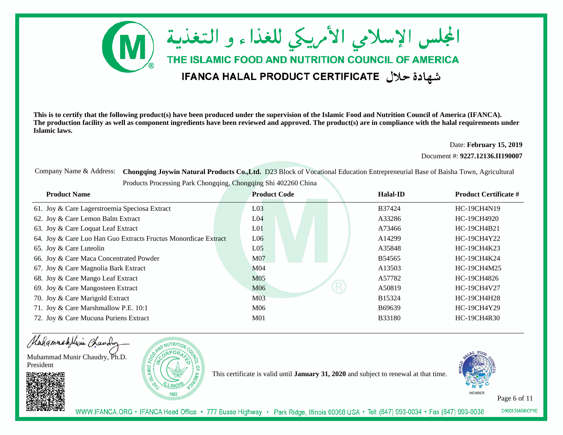

Date: **February 15, 2019**

Document #: **9227.12136.II190007**

Company Name & Address: **Chongqing Joywin Natural Products Co.,Ltd.** D23 Block of Vocational Education Entrepreneurial Base of Baisha Town, AgriculturalProducts Processing Park Chongqing, Chongqing Shi 402260 China

| <b>Product Name</b>                                            | <b>Product Code</b> | Halal-ID      | <b>Product Certificate #</b> |
|----------------------------------------------------------------|---------------------|---------------|------------------------------|
| 61. Joy & Care Lagerstroemia Speciosa Extract                  | L <sub>03</sub>     | B37424        | <b>HC-19CH4N19</b>           |
| 62. Joy & Care Lemon Balm Extract                              | L <sub>04</sub>     | A33286        | HC-19CH4920                  |
| 63. Joy & Care Loquat Leaf Extract                             | L <sub>01</sub>     | A73466        | HC-19CH4B21                  |
| 64. Joy & Care Luo Han Guo Extracts Fructus Monordicae Extract | L <sub>06</sub>     | A14299        | HC-19CH4Y22                  |
| 65. Joy & Care Luteolin                                        | L <sub>05</sub>     | A35848        | HC-19CH4K23                  |
| 66. Joy & Care Maca Concentrated Powder                        | M07                 | B54565        | HC-19CH4K24                  |
| 67. Joy & Care Magnolia Bark Extract                           | M <sub>04</sub>     | A13503        | HC-19CH4M25                  |
| 68. Joy & Care Mango Leaf Extract                              | M <sub>05</sub>     | A57782        | HC-19CH4826                  |
| 69. Joy & Care Mangosteen Extract                              | M06                 | A50819        | <b>HC-19CH4V27</b>           |
| 70. Joy & Care Marigold Extract                                | M <sub>03</sub>     | B15324        | HC-19CH4H28                  |
| 71. Joy & Care Marshmallow P.E. 10:1                           | M <sub>06</sub>     | B69639        | HC-19CH4Y29                  |
| 72. Joy & Care Mucuna Puriens Extract                          | M <sub>01</sub>     | <b>B33180</b> | <b>HC-19CH4R30</b>           |

Mahammadellin Chauding

Muhammad Munir Chaudry, Ph.D.President



This certificate is valid until **January 31, 2020** and subject to renewal at that time.



Page 6 of 11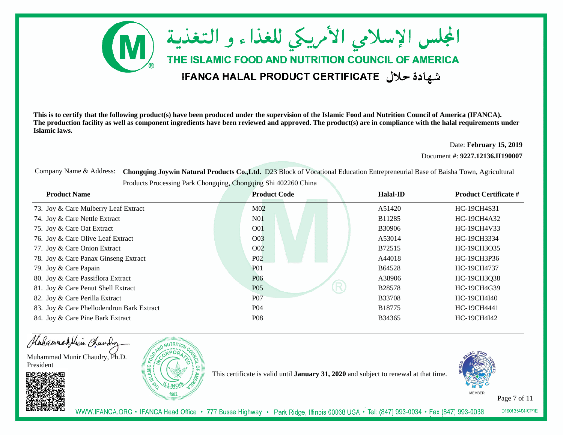

Date: **February 15, 2019**

Document #: **9227.12136.II190007**

Company Name & Address: **Chongqing Joywin Natural Products Co.,Ltd.** D23 Block of Vocational Education Entrepreneurial Base of Baisha Town, AgriculturalProducts Processing Park Chongqing, Chongqing Shi 402260 China

| <b>Product Name</b>                       | <b>Product Code</b> | <b>Halal-ID</b>    | <b>Product Certificate #</b> |
|-------------------------------------------|---------------------|--------------------|------------------------------|
| 73. Joy & Care Mulberry Leaf Extract      | M <sub>02</sub>     | A51420             | HC-19CH4S31                  |
| 74. Joy & Care Nettle Extract             | N <sub>0</sub> 1    | B11285             | HC-19CH4A32                  |
| 75. Joy & Care Oat Extract                | O <sub>01</sub>     | <b>B30906</b>      | HC-19CH4V33                  |
| 76. Joy & Care Olive Leaf Extract         | O03                 | A53014             | HC-19CH3334                  |
| 77. Joy & Care Onion Extract              | O <sub>0</sub> 2    | B72515             | HC-19CH3O35                  |
| 78. Joy & Care Panax Ginseng Extract      | <b>P02</b>          | A44018             | HC-19CH3P36                  |
| 79. Joy & Care Papain                     | <b>PO1</b>          | B64528             | HC-19CH4737                  |
| 80. Joy & Care Passiflora Extract         | P <sub>06</sub>     | A38906             | HC-19CH3Q38                  |
| 81. Joy & Care Penut Shell Extract        | <b>P05</b>          | R<br><b>B28578</b> | HC-19CH4G39                  |
| 82. Joy & Care Perilla Extract            | P <sub>07</sub>     | <b>B33708</b>      | HC-19CH4I40                  |
| 83. Joy & Care Phellodendron Bark Extract | <b>P04</b>          | B18775             | HC-19CH4441                  |
| 84. Joy & Care Pine Bark Extract          | <b>P08</b>          | B34365             | HC-19CH4I42                  |

Mahammadellin Chauding

Muhammad Munir Chaudry, Ph.D.President





This certificate is valid until **January 31, 2020** and subject to renewal at that time.



Page 7 of 11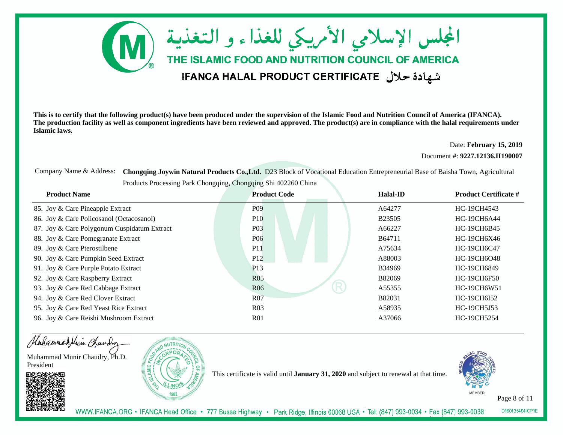

Date: **February 15, 2019**

Document #: **9227.12136.II190007**

Company Name & Address: **Chongqing Joywin Natural Products Co.,Ltd.** D23 Block of Vocational Education Entrepreneurial Base of Baisha Town, AgriculturalProducts Processing Park Chongqing, Chongqing Shi 402260 China

| <b>Product Name</b>                         | <b>Product Code</b>  | <b>Halal-ID</b> | <b>Product Certificate #</b> |
|---------------------------------------------|----------------------|-----------------|------------------------------|
| 85. Joy & Care Pineapple Extract            | P <sub>09</sub>      | A64277          | HC-19CH4543                  |
| 86. Joy & Care Policosanol (Octacosanol)    | P <sub>10</sub>      | B23505          | <b>HC-19CH6A44</b>           |
| 87. Joy & Care Polygonum Cuspidatum Extract | P <sub>0</sub> 3     | A66227          | HC-19CH6B45                  |
| 88. Joy & Care Pomegranate Extract          | P <sub>06</sub>      | B64711          | HC-19CH6X46                  |
| 89. Joy & Care Pterostilbene                | P <sub>11</sub>      | A75634          | HC-19CH6C47                  |
| 90. Joy & Care Pumpkin Seed Extract         | P <sub>12</sub>      | A88003          | HC-19CH6O48                  |
| 91. Joy & Care Purple Potato Extract        | P <sub>13</sub>      | B34969          | HC-19CH6849                  |
| 92. Joy & Care Raspberry Extract            | R <sub>05</sub>      | B82069          | HC-19CH6F50                  |
| 93. Joy & Care Red Cabbage Extract          | R<br>R <sub>06</sub> | A55355          | HC-19CH6W51                  |
| 94. Joy & Care Red Clover Extract           | R07                  | <b>B82031</b>   | HC-19CH6I52                  |
| 95. Joy & Care Red Yeast Rice Extract       | R <sub>03</sub>      | A58935          | HC-19CH5J53                  |
| 96. Joy & Care Reishi Mushroom Extract      | R <sub>01</sub>      | A37066          | HC-19CH5254                  |

Mahammadellin Chauding

Muhammad Munir Chaudry, Ph.D.President



This certificate is valid until **January 31, 2020** and subject to renewal at that time.



Page 8 of 11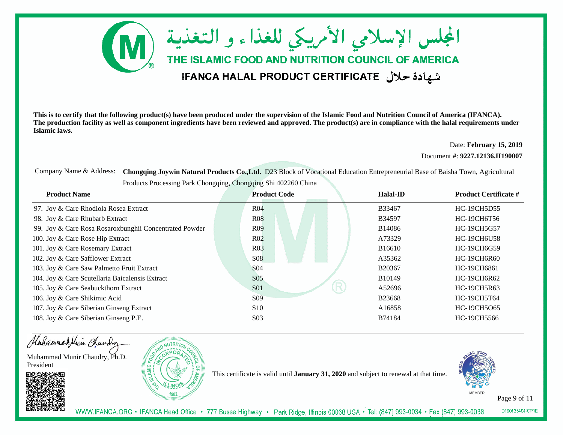

Date: **February 15, 2019**

Document #: **9227.12136.II190007**

Company Name & Address: **Chongqing Joywin Natural Products Co.,Ltd.** D23 Block of Vocational Education Entrepreneurial Base of Baisha Town, AgriculturalProducts Processing Park Chongqing, Chongqing Shi 402260 China

| <b>Product Name</b>                                    | <b>Product Code</b> | <b>Halal-ID</b> | <b>Product Certificate #</b> |
|--------------------------------------------------------|---------------------|-----------------|------------------------------|
| 97. Joy & Care Rhodiola Rosea Extract                  | R <sub>04</sub>     | B33467          | HC-19CH5D55                  |
| 98. Joy & Care Rhubarb Extract                         | <b>R08</b>          | B34597          | HC-19CH6T56                  |
| 99. Joy & Care Rosa Rosaroxbunghii Concentrated Powder | R <sub>09</sub>     | B14086          | HC-19CH5G57                  |
| 100. Joy & Care Rose Hip Extract                       | R <sub>02</sub>     | A73329          | <b>HC-19CH6U58</b>           |
| 101. Joy & Care Rosemary Extract                       | R <sub>03</sub>     | B16610          | HC-19CH6G59                  |
| 102. Joy & Care Safflower Extract                      | <b>S08</b>          | A35362          | <b>HC-19CH6R60</b>           |
| 103. Joy & Care Saw Palmetto Fruit Extract             | <b>S04</b>          | B20367          | HC-19CH6861                  |
| 104. Joy & Care Scutellaria Baicalensis Extract        | S <sub>05</sub>     | B10149          | <b>HC-19CH6R62</b>           |
| 105. Joy & Care Seabuckthorn Extract                   | R<br><b>S01</b>     | A52696          | <b>HC-19CH5R63</b>           |
| 106. Joy & Care Shikimic Acid                          | S <sub>09</sub>     | <b>B23668</b>   | HC-19CH5T64                  |
| 107. Joy & Care Siberian Ginseng Extract               | S <sub>10</sub>     | A16858          | HC-19CH5O65                  |
| 108. Joy & Care Siberian Ginseng P.E.                  | S <sub>03</sub>     | B74184          | HC-19CH5566                  |

Mahammadellin Chauding

Muhammad Munir Chaudry, Ph.D.President





This certificate is valid until **January 31, 2020** and subject to renewal at that time.



Page 9 of 11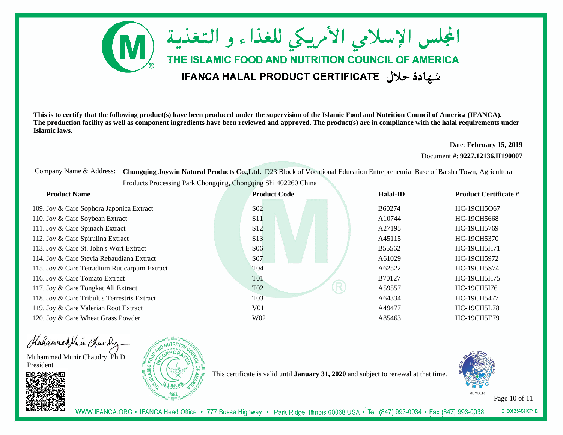

Date: **February 15, 2019**

Document #: **9227.12136.II190007**

Company Name & Address: **Chongqing Joywin Natural Products Co.,Ltd.** D23 Block of Vocational Education Entrepreneurial Base of Baisha Town, AgriculturalProducts Processing Park Chongqing, Chongqing Shi 402260 China

| <b>Product Name</b>                          | <b>Product Code</b> | <b>Halal-ID</b> | <b>Product Certificate #</b> |
|----------------------------------------------|---------------------|-----------------|------------------------------|
| 109. Joy & Care Sophora Japonica Extract     | S <sub>0</sub> 2    | B60274          | HC-19CH5O67                  |
| 110. Joy & Care Soybean Extract              | <b>S11</b>          | A10744          | HC-19CH5668                  |
| 111. Joy & Care Spinach Extract              | S <sub>12</sub>     | A27195          | HC-19CH5769                  |
| 112. Joy & Care Spirulina Extract            | S <sub>13</sub>     | A45115          | HC-19CH5370                  |
| 113. Joy & Care St. John's Wort Extract      | S <sub>06</sub>     | B55562          | HC-19CH5H71                  |
| 114. Joy & Care Stevia Rebaudiana Extract    | S <sub>07</sub>     | A61029          | HC-19CH5972                  |
| 115. Joy & Care Tetradium Ruticarpum Extract | T <sub>04</sub>     | A62522          | HC-19CH5S74                  |
| 116. Joy & Care Tomato Extract               | <b>T01</b>          | <b>B70127</b>   | HC-19CH5H75                  |
| 117. Joy & Care Tongkat Ali Extract          | T <sub>02</sub>     | R<br>A59557     | HC-19CH5I76                  |
| 118. Joy & Care Tribulus Terrestris Extract  | T <sub>03</sub>     | A64334          | HC-19CH5477                  |
| 119. Joy & Care Valerian Root Extract        | V <sub>01</sub>     | A49477          | <b>HC-19CH5L78</b>           |
| 120. Joy & Care Wheat Grass Powder           | W <sub>02</sub>     | A85463          | <b>HC-19CH5E79</b>           |

Mahammadellin Chauding

Muhammad Munir Chaudry, Ph.D.President





This certificate is valid until **January 31, 2020** and subject to renewal at that time.



Page 10 of 11